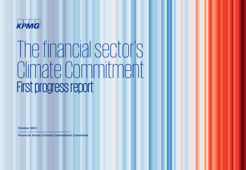

# The financial sector's Climate Commitment First progress report

**October 2021**

**Financial Sector Climate Commitment Committee**

**-----------------------------------------------------**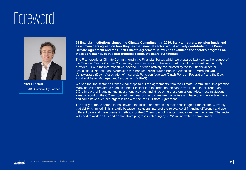### **Foreword**



**Marco Frikkee**  KPMG Sustainability Partner

**54 financial institutions signed the Climate Commitment in 2019. Banks, insurers, pension funds and asset managers agreed on how they, as the financial sector, would actively contribute to the Paris Climate Agreement and the Dutch Climate Agreement. KPMG has examined the sector's progress on these agreements. In this first progress report, we share our findings.** 

The Framework for Climate Commitment in the Financial Sector, which we prepared last year at the request of the Financial Sector Climate Committee, forms the basis for this report. Almost all the institutions promptly provided us with the information we needed. This was actively coordinated by the four financial sector associations: Nederlandse Vereniging van Banken (NVB) (Dutch Banking Association), Verbond van Verzekeraars (Dutch Association of Insurers), Pensioen federatie (Dutch Pension Federation) and the Dutch Fund and Asset Management Association (DUFAS).

We see that the sector has taken clear steps to put the agreements from the Climate Commitment into practice. Many activities are aimed at gaining better insight into the greenhouse gases (referred to in this report as CO<sub>2</sub>e-impact) of financing and investment activities and at reducing these emissions. Also, most institutions already report on the  $CO<sub>2</sub>e$ -impact of their financing and investment activities and have drawn up action plans, and some have even set targets in line with the Paris Climate Agreement.

The ability to make comparisons between the institutions remains a major challenge for the sector. Currently, that ability is limited. This is partly because institutions interpret the relevance of financing differently and use different data and measurement methods for the  $CO<sub>2</sub>e$ -impact of financing and investment activities. The sector will need to work on this and demonstrate progress in steering by 2022, in line with its commitment.

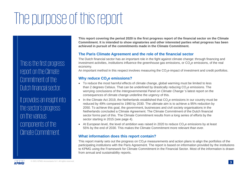## The purpose of this report

This is the first progress report on the Climate Commitment of the Dutch financial sector.

It provides an insight into the sector's progress on the various components of the Climate Commitment.

**This report covering the period 2020 is the first progress report of the financial sector on the Climate Commitment. It is intended to show signatories and other interested parties what progress has been achieved in pursuit of the commitments made in the Climate Commitment.**

#### **The Paris Climate Agreement and the role of the financial sector**

The Dutch financial sector has an important role in the fight against climate change: through financing and investment activities, institutions influence the greenhouse gas emissions, or  $CO<sub>2</sub>e$  emissions, of the real economy.

An important method in this respect involves measuring the CO<sub>2</sub>e-impact of investment and credit portfolios.

#### **Why reduce CO2e emissions?**

- To reduce the most harmful effects of climate change, global warming must be limited to less than 2 degrees Celsius. That can be underlined by drastically reducing  $CO<sub>2</sub>e$  emissions. The worrying conclusions of the *Intergovernmental Panel on Climate Change* 's latest report on the consequences of climate change underline the urgency of this.
- In the Climate Act 2019, the Netherlands established that  $CO<sub>2</sub>e$  emissions in our country must be reduced by 49% compared to 1990 by 2030. The ultimate aim is to achieve a 95% reduction by 2050. To achieve this goal, the government, businesses and civil society organisations in the Netherlands concluded a Climate Agreement. The Climate Commitment of the Dutch financial sector forms part of this. The Climate Commitment results from a long series of efforts by the sector starting in 2015 (see page 4).
- At European level, the level of ambition was raised in 2020 to reduce  $CO<sub>2</sub>e$  emissions by at least 55% by the end of 2030. This makes the Climate Commitment more relevant than ever.

#### **What information does this report contain?**

This report mainly sets out the progress on  $CO<sub>2</sub>e$  measurements and action plans to align the portfolios of the participating institutions with the Paris Agreement. The report is based on information provided by the institutions to KPMG using the Framework for Climate Commitment in the Financial Sector. Most of the information is drawn from annual and sustainability reports.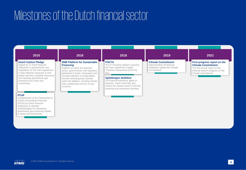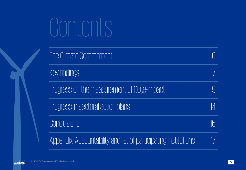# Contents

| The Climate Commitment                                          |    |
|-----------------------------------------------------------------|----|
| Key findings                                                    |    |
| Progress on the measurement of CO <sub>2</sub> e-impact         |    |
| Progress in sectoral action plans                               | 14 |
| <b>Conclusions</b>                                              |    |
| Appendix: Accountability and list of participating institutions |    |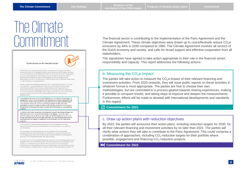# <span id="page-5-0"></span>The Climate

#### Commitment van de financiële sector

De financiële sector (banken, nensigenfondsen, verzekeraars en vermogensbeheerders) neemt het initiatief om een bijdrage te leveren aan de uitvoering van het Akkoord van Parijs en het Klimaatakkoord. Het Klimaatakkoord heeft tot doel om de uitstoot van broeikasgassen (hierna kortweg aangeduid als CO2) in 2030 op een kosteneffectieve wijze met 49% te verminderen ten opzichte van 1990. Het Klimaatakkoord raakt alle sectoren van de Nederlandse economie en samenleving, en vraagt om brede steun en effectieve medewerking van alle betrokkenen en belanghebbenden.

Hiertoe verbinden de ondertekenende partijen zich in overeenstemming met hun rol in de financiële keten, verantwoordelijkheid en capaciteit aan de volgende te nemen acties: a. De betrokken partijen nemen deel aan de financiering van de energietransitie en aanvaarden hiertoe een inspanningsverplichting binnen de kaders van wet & regelgeving en de risico-rendementsdoelstellingen. Waar nodig en nuttig worden samen met Invest-NL en andere relevante partijen de financieringsmogelijkheden voor verduurzaming geoptimaliseerd.

b. De partijen ondernemen actie om het CO2-gehalte van hun relevante financieringen en beleggingen te meten. Vanaf het boekjaar 2020 rapporteren zij daarover publiekelijk in de vorm die voor hun het meest passend is. De partijen kunnen hun eigen methodiek kiezen maar verbinden zich aan een proces om onderling ervaringen te delen, resultaten vergelijkbaar te maken en stappen te zetten om de meting te verbeteren en te verdiepen. Daarbij wordt aansluiting gezocht bij de internationale ontwikkelingen en standaarden op dit gebied.

c. Uiterlijk in 2022 maken de partijen hun actieplannen inclusief reductiedoelstellingen voor 2030 bekend voor al hun relevante financieringen en beleggingen. De partijen zullen toelichten welke acties zij nemen om bij te dragen aan het klimaatakkoord van Parijs. Dit kan een combinatie zijn van benaderingen waaronder CO2-reductiedoelstellingen voor de portefeuille waar dat mogelijk is, engagement, en financieringen van CO2-reducerende projecten.

d. Dit commitment maakt integraal onderdeel uit van het Klimaatakkoord. Partijen organiseren jaarlijks overleg met alle betrokkenen over de voortgang van de uitvoering van de afspraken

Het commitment van de financiële sector aan het welslagen van de noodzakelijke energietransitie heeft zowel betrekking op het aanbieden van passende marktconforme financieringsarrangementen voor verduurzaming, als op het integreren van klimaatdoelen waaronder CO2-reductiedoelstellingen in de eigen strategie.

De financiële sector wil een substantiële bijdrage leveren aan verduurzamingsprojecten om de energietransitie in de verschillende sectoren van de economie en de samenleving goed vorm te geven, op marktconforme basis. De financiële sector heeft zich via de taakgroep Financiering van het Klimaatakkoord ingezet voor het bevorderen van cross-sectorale vormen van financiering om de afstemming van vraag en aanbod van financiering beter op elkaar af

The financial sector is contributing to the implementation of the Paris Agreement and the<br>Climate Agreement. These climate objectives were drawn up to cost-effectively reduce Commissions by 49% in 2030 compared to 1990. Th Climate Agreement. These climate objectives were drawn up to cost-effectively reduce  $\mathsf{CO}_{2}$ e emissions by 49% in 2030 compared to 1990. The Climate Agreement involves all sectors of the Dutch economy and society, and calls for broad support and effective cooperation from all stakeholders.

> The signatories have agreed to take action appropriate to their role in the financial sector, responsibility and capacity. This report addresses the following actions:

#### b. Measuring the  $CO<sub>2</sub>e$ -impact

The parties will take action to measure the  $CO<sub>2</sub>e$ -impact of their relevant financing and investment activities. From 2020 onwards, they will issue public reports on these activities in whatever format is most appropriate. The parties are free to choose their own methodologies, but are committed to a process geared towards sharing experiences, making it possible to compare results, and taking steps to improve and deepen the measurements. Furthermore, efforts will be made to dovetail with international developments and standards in this regard.

**Commitment for 2021**

#### c. Draw up action plans with reduction objectives

By 2022, the parties will announce their action plans, including reduction targets for 2030, for all their relevant financing and investment activities by no later than 2022. The parties will clarify what actions they will take to contribute to the Paris Agreement. This could comprise a combination of approaches, including  $CO_2$ -reduction targets for their portfolio where possible, engagement and financing  $\mathrm{CO}_2$ -reduction projects.

#### **Commitment for 2022**

KPMG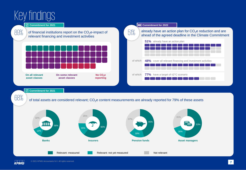<span id="page-6-0"></span>



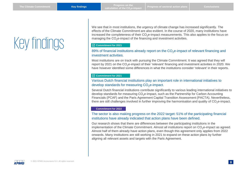## <span id="page-7-0"></span>Key findings

We see that in most institutions, the urgency of climate change has increased significantly. The effects of the Climate Commitment are also evident. In the course of 2020, many institutions have increased the completeness of their CO<sub>2</sub>e-impact measurements. This also applies to the focus on managing the  $CO<sub>2</sub>e$ -impact of the financing and investment activities.

#### **Commitment for 2021**

#### 89% of financial institutions already report on the  $CO<sub>2</sub>e$ -impact of relevant financing and investment activities.

Most institutions are on track with pursuing the Climate Commitment. It was agreed that they will report by 2021 on the CO<sub>2</sub>e-impact of their 'relevant' financing and investment activities in 2020. We have however identified some differences in what the institutions consider 'relevant' in their reports.

#### **Commitment for 2021**

#### Various Dutch financial institutions play an important role in international initiatives to develop standards for measuring  $CO<sub>2</sub>e$ -impact.

Several Dutch financial institutions contribute significantly to various leading international initiatives to develop standards for measuring  $CO<sub>2</sub>e$ -impact, such as the Partnership for Carbon Accounting Financials (PCAF) and the Paris Agreement Capital Transition Assessment (PACTA). Nevertheless, there are still challenges involved in further improving the harmonisation and quality of  $CO<sub>2</sub>e$ -impact.

#### **Commitment for 2022**

#### The sector is also making progress on the 2022 target: 51% of the participating financial institutions have already indicated that action plans have been defined.

Our research shows that there are differences between the participating institutions in the implementation of the Climate Commitment. Almost all institutions report on CO<sub>2</sub>e-impact as agreed. Almost half of them already have action plans, even though this agreement only applies from 2022 onwards. Many institutions are still working in 2021 to expand on these action plans by further aligning all relevant assets and targets with the Paris Agreement.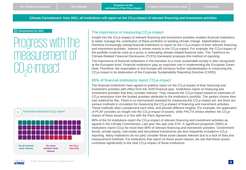**Climate Commitment: from 2021, all institutions will report on the CO2e-impact of relevant financing and investment activities**

#### <span id="page-8-0"></span>**Commitment for 2021**

Progress with the measurement of  $CO<sub>2</sub>$ e-impact



#### The importance of measuring  $CO<sub>2</sub>e$ -impact

Insight into the  $CO<sub>2</sub>e$ -impact of relevant financing and investment activities enables financial institutions to better manage the contribution of these portfolios to tackling climate change. Stakeholders are therefore increasingly asking financial institutions to report on the  $CO<sub>2</sub>e$ -impact of their relevant financing and investment activities. Interest is shown mainly in the  $CO_2e$ -impact. For example, the  $CO_2e$ -impact of the portfolio could be used as a proxy in estimating climate-related financial risks. The Taskforce on Climate-Related Financial Disclosures (TCFD) framework proposes this method of reporting.

The importance of financial institutions in the transition to a more sustainable society is also recognised at the European level. Financial institutions play an important role in implementing the *European Green Deal.* Therefore, the expectation is that Europe will introduce further standardisation in measuring the CO2e-impact in its elaboration of the Corporate Sustainability Reporting Directive (CSRD).

#### 89% of financial institutions report  $CO<sub>2</sub>e$ -impact

The financial institutions have agreed to publicly report on the CO<sub>2</sub>e-impact of their financing and investment activities with effect from the 2020 financial year. Institutions report on financing and investment activities that they consider relevant. They measure the  $CO<sub>2</sub>e$ -impact based on estimates of CO<sub>2</sub>e emissions from the funded activities attributed to the institution's portfolio. The parties choose their own method for this. There is no harmonised standard for measuring the CO<sub>2</sub>e-impact yet, but there are various methods in circulation for measuring the CO<sub>2</sub>e-impact of financing and investment activities. These methods often complement each other and provide different insights. For example, the application of PCAF provides an insight into the  $CO<sub>2</sub>e$ -impact of assets, while PACTA shows whether the  $CO<sub>2</sub>e$ impact of these assets is in line with the Paris Agreement.

89% of the 54 institutions report the CO<sub>2</sub>e-impact of relevant financing and investment activities as agreed in the Climate Commitment. Last year this was only 57%. A significant proportion (59%) of institutions report CO<sub>2</sub>e for more than 80% of relevant financing and investment activities. Government bonds, private equity, real estate and securitised investments are less frequently included in CO<sub>2</sub>e reporting. Many institutions do not (yet) consider these asset classes relevant due to a lack of data and measurement methods. For institutions that report on these asset classes, we see that these assets contribute significantly to the total  $CO<sub>2</sub>e$ -impact of these institutions.

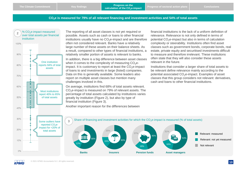#### **CO2e is measured for 79% of all relevant financing and investment activities and 54% of total assets**



The reporting of all asset classes is not yet required or possible. Assets such as cash or loans to other financial institutions usually have no  $CO<sub>2</sub>e$ -impact and are therefore often not considered relevant. Banks have a relatively large number of these assets on their balance sheets. As a result, compared to other types of financial institutions, a relatively smaller portion of assets is relevant to banks. In addition, there is a big difference between asset classes when it comes to the complexity of measuring  $CO<sub>2</sub>e$ impact. It is customary to report at least the  $CO<sub>2</sub>e$ -impact of loans to and investments in large (listed) companies. Data on this is generally available. Some leaders also report on multiple asset classes but mention many challenges involved in this.

On average, institutions find 68% of total assets relevant. CO<sub>2</sub>e-impact is measured on 79% of relevant assets. The percentage of total assets calculated by institutions varies greatly by institution (Figure 2), but also by type of financial institution (Figure 3).

Another important reason for the differences between

financial institutions is the lack of a uniform definition of relevance. Relevance is not only defined in terms of potential  $CO<sub>2</sub>e$ -impact but also in terms of calculation complexity or steerability. Institutions often find asset classes such as government bonds, corporate bonds, real estate, private equity and securitised investments difficult to measure and therefore irrelevant. These institutions often state that they will also consider these assets relevant in the future.

Institutions that consider a larger share of total assets to be relevant define relevance mainly according to the potential associated CO<sub>2</sub>e-impact. Examples of asset classes that this group considers not relevant: derivatives, cash and loans to other financial institutions.



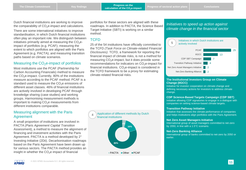Dutch financial institutions are working to improve the comparability of  $CO<sub>2</sub>e$ -impact and calculations.

There are some international initiatives to improve standardisation, in which Dutch financial institutions often play an important role. We distinguish between initiatives primarily aimed at measuring the  $CO<sub>2</sub>e$ impact of portfolios (e.g. PCAF); measuring the extent to which portfolios are aligned with the Paris Agreement (e.g. PACTA); and measuring transition paths based on climate scenarios.

#### Measuring the  $CO<sub>2</sub>e$ -impact of portfolios

Most institutions use the PCAF (Partnership for Carbon Accounting Financials) method to measure the  $CO<sub>2</sub>e$ -impact. Currently, 80% of the institutions measure according to the PCAF method. PCAF is a standard used to measure the  $CO<sub>2</sub>e$  emissions of different asset classes. 46% of financial institutions are actively involved in developing PCAF through knowledge sharing (case studies) and working groups. Harmonising measurement methods is important to making CO<sub>2</sub>e measurements from different institutions comparable.

#### Measuring alignment with the Paris Agreement

A small proportion of institutions are involved in PACTA *(Paris Agreement Capital Transition*  Assessment), a method to measure the alignment of financing and investment activities with the Paris Agreement. PACTA is a method developed by 2° Investing Initiative (2Dii). Decarbonisation roadmaps based on the Paris Agreement have been drawn up for various sectors. The PACTA method provides an insight in whether the  $CO<sub>2</sub>e$  impact of financial

portfolios for these sectors are aligned with these roadmaps. In addition to PACTA, the Science Based Target Initiative (SBTi) is working on a similar method.

#### **TCFD**

**4**

25 of the 54 institutions have officially committed to the TCFD *(Task Force on Climate-related Financial Disclosures)*. TCFD, a framework for reporting the financial impact of climate risks, is not a method for measuring  $CO<sub>2</sub>e$ -impact, but it does provide some recommendations for indicators on  $CO<sub>2</sub>e$ -impact for financial institutions.  $CO<sub>2</sub>e$ -impact is considered in the TCFD framework to be a proxy for estimating climate-related financial risks.

Application of different methods by Dutch financial institutions



 $\blacksquare$  PACTA  $\blacksquare$  Other  $\blacksquare$  PCAF

*Initiatives to speed up action against climate change in the financial sector*



#### **The Institutional Investors Group on Climate Change (IIGCC)**

Initiative for investor cooperation on climate change and defining necessary actions for investors to address climate change.

#### **CDP Science-Based Targets Campaign (CDP SBT)**

Initiative allowing CDP signatories to engage in a dialogue with companies on setting science-based climate targets.

#### **Transition Pathway Initiative**

Initiative that assesses the climate performance of companies and helps institutions align portfolios with the Paris Agreement.

#### **Net Zero Asset Managers Initiative**

International group of asset managers committed to net-zero by 2050, in line with a 1.5°C scenario.

#### **Net-Zero Banking Alliance**

International group of banks committed to net-zero by 2050 or earlier.

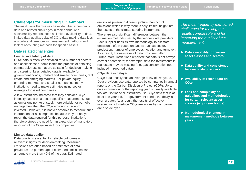#### **Challenges for measuring CO2e-impact**

The institutions themselves have identified a number of data and related challenges in their annual and sustainability reports, such as limited availability of data, limited data quality, delay of  $CO<sub>2</sub>e$  data making data less up-to-date, differences in measurement methods and lack of accounting methods for specific assets.

#### Data related challenges

#### **Limited availability of data**

CO<sub>2</sub>e data is often less detailed for a number of sectors and asset classes. complicates the process of obtaining comparable results that are suitable for decision-making and steering. Less detailed data is available for government bonds, unlisted and smaller companies, real estate and emerging markets. For private equity, emerging markets, and smaller companies, many institutions need to make estimates using sector averages for listed companies.

A few institutions indicated that they consider  $CO<sub>2</sub>e$ intensity based on a sector-specific measurement, such as emissions per kg of steel, more suitable for portfolio management than the CO<sub>2</sub>e emissions per euro invested. However, it is not yet possible to measure such information for all companies because they do not yet report the data required for this purpose. Institutions therefore stress the need for an expansion of mandatory reporting of the  $CO<sub>2</sub>e$  impact for companies.

#### **Limited data quality**

Data quality is essential for reliable outcomes and relevant insights for decision-making. Measured emissions are often based on estimates of data providers; the percentage of estimated emissions can amount to more than 40% of the data. Estimated

emissions present a different picture than actual emissions which is why there is only limited insight into the results of the climate steering instruments.

There are also significant differences between the estimation methods used by the various data providers. Each supplier uses its own methodology to estimate emissions, often based on factors such as sector, production, number of employees, location and turnover. As a result, the estimates of data providers differ. Furthermore, institutions reported that data is not always correct or complete; for example, data for investments in real estate may be missing (e.g. gas consumption not included in reported data).

#### **CO2e data is delayed**

 $CO<sub>2</sub>e$  data usually has an average delay of two years. Data providers use data reported by companies in annual reports or the Carbon Disclosure Project (CDP). Up-todate information for the reporting year is usually available too late, so financial institutions use  $CO<sub>2</sub>e$  data that is at least one year old. For government bonds, the delay is even greater. As a result, the results of effective interventions to reduce  $CO<sub>2</sub>e$  emissions by companies are also delayed.

*The most frequently mentioned challenges for making the results comparable and for improving the quality of the measurement*

- ► **Data availability for certain asset classes and sectors**
- ► **Data quality and consistency between data providers**
- ► **Availability of recent data on CO2e**
- ► **Lack and complexity of guidelines and methodologies for certain relevant asset classes (e.g. green bonds)**
- ► **Methodological changes in measurement methods between years**

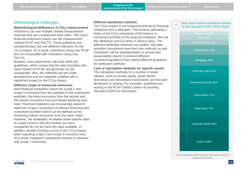#### Methodological challenges

#### **Methodological differences in CO2e measurement**

Institutions can use multiple climate measurement methods that can complement each other. The Dutch financial institutions mainly use the measurement method PCAF and PACTA. These guidelines are complementary, but use different indicators for the CO<sub>2</sub>e-impact. As a result, institutions using only PCAF are not comparable with institutions using only PACTA.

Besides, many alternatives still exist within the guidelines, which means that the data of parties who report based on PCAF are generally not yet comparable. Also, the methods are still under development and are regularly modified with a significant impact on the  $CO<sub>2</sub>e$ -impact.

#### **Different scope of measured emissions**

Most financial institutions report the scope 1 and scope 2 emissions from the activities in the investment portfolios: the direct emissions from the activity and the indirect emissions from purchased electricity and heat. Financial institutions are increasingly asked to report the scope 3 emissions of relevant financing and investment activities which can be defined as the remaining indirect emissions from the value chain. However, the availability of reliable asset-specific data at scope 3 level is still very limited, as many companies do not yet have this data available. In addition, double-counting occurs in the  $CO<sub>2</sub>e$ -impact when reporting scope 2 and scope 3 emissions and, as a result, institutions sometimes choose to measure only scope 1 emissions.

#### **Different attribution methods**

The  $CO<sub>2</sub>e$ -impact is not measured directly by financial institutions but is allocated. This involves allocating a share of the  $CO<sub>2</sub>e$  emissions of the finance or investment portfolio to the financial institution. We call this attribution and it is done in various ways. The different attribution methods vary widely, and data providers sometimes have their own methods as well. Institutions call for standardisation in annual and sustainability reports to prevent different countries/regulations from setting different guidelines for attribution methods.

**Lack of calculation methods for specific assets** The calculation methods for a number of asset classes, such as private equity, green bonds, derivatives and securitised investments, are less well developed or lacking. For example, guidelines are lacking in the PCAF Global Carbon Accounting Standard (2020) for derivatives.



#### Main asset classes considered relevant for the calculation of the CO2e-impact

Project Finance 29%

Private Equity 52%

Mortgages 58%

Corporate Loans 59%

Government Bonds 65%

Green Bonds 71%

Real Estate 74%

Corporate Bonds 92%

Shares 100%

% of institutions that consider the asset class in question relevant

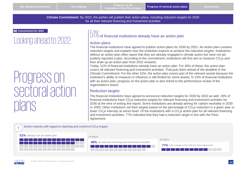**Climate Commitment:** By 2022, the parties will publish their action plans, including reduction targets for 2030 for all their relevant financing and investment activities

#### **Commitment for 2022**

### Looking ahead to 2022:

### Progress on sectoral action plans

### $51\%$  of financial institutions already have an action plan

#### Action plans

The financial institutions have agreed to publish action plans for 2030 by 2022. An action plan contains reduction targets and explains how the institution expects to achieve the reduction targets. Institutions without an action plan often report that they are already engaged in climate action but have not yet publicly reported a plan. According to the commitment, institutions will first aim to measure  $CO<sub>2</sub>e$  and then draw up an action plan from 2022 onwards.

Today, 51% of financial institutions already have an action plan. For 48% of these, the action plan covers all relevant financing and investment activities. That puts them ahead of the deadline in the Climate Commitment. For the other 52%, the action plan covers part of the relevant assets because the institution's ability to measure or influence is still limited for some assets. In 15% of financial institutions with an action plan, progress on the action plan is also linked to the performance review of the organisation's board.

#### Reduction targets

The financial institutions have agreed to announce reduction targets for 2030 by 2022 as well. 19% of financial institutions have CO<sub>2</sub>e reduction targets for relevant financing and investment activities for 2030 at the time of writing this report. Some institutions are already aiming for carbon neutrality in 2030 or 2050. Other institutions set their targets based on the percentage of CO<sub>2</sub>e reduction in a given year or lower  $CO<sub>2</sub>e$  intensity at sector level. Of the institutions with a  $CO<sub>2</sub>e$  action plan for all relevant financing and investment activities, 77% indicated that they had a reduction target in line with the Paris Agreement.



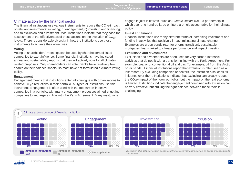#### Climate action by the financial sector

The financial institutions use various instruments to reduce the  $CO<sub>2</sub>e$ -impact of relevant investments: a) voting; b) engagement; c) investing and financing; and d) exclusion and divestment. Most institutions indicate that they base the assessment of the effectiveness of these actions on the evolution of  $CO<sub>2</sub>e$ levels. There is considerable diversity in how the institutions use these instruments to achieve their objectives.

#### **Voting**

Voting at shareholders' meetings can be used by shareholders of listed companies to exert influence. Some financial institutions have indicated in annual and sustainability reports that they will actively vote for all climaterelated proposals. Only shareholders can vote. Banks have relatively few shares on their balance sheets, so most have not formulated a climate voting policy.

#### **Engagement**

Engagement means that institutions enter into dialogue with organisations to achieve  $CO<sub>2</sub>e$  reductions in their portfolio. All types of institutions use this instrument. Engagement is often used with the top carbon-intensive companies in a portfolio, with many engagement processes aimed at getting companies to set targets in line with the Paris Agreement. Many institutions

engage in joint initiatives, such as *Climate Action 100+*, a partnership in which over one hundred large emitters are held accountable for their climate policy.

#### **Invest and finance**

Financial institutions use many different forms of increasing investment and funding in activities that positively impact mitigating climate change. Examples are green bonds (e.g. for energy transition), sustainable mortgages, loans linked to climate performance and impact investing.

#### **Exclusions and divestments**

Exclusions and divestments are often used for very carbon-intensive activities that do not fit with a transition in line with the Paris Agreement. For example, coal or unconventional oil and gas (for example, oil from the Arctic or tar sands). Financial institutions report that exclusion is often seen as a last resort. By excluding companies or sectors, the institution also loses its influence over them. Institutions indicate that excluding can greatly reduce the  $CO<sub>2</sub>e$ -impact of their own portfolios, but the impact on the real economy is limited. Institutions indicate that engagement combined with exclusion can be very effective, but striking the right balance between these tools is challenging.



*Disclaimer: This data may contain double counting as asset managers may act on behalf of pension funds and insurers.* 



**- yes**

**no**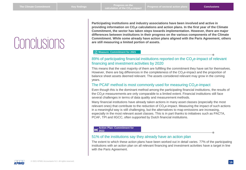### <span id="page-15-0"></span>**Conclusions**

**Participating institutions and industry associations have been involved and active in providing information on CO2e calculations and action plans. In the first year of the Climate Commitment, the sector has taken steps towards implementation. However, there are major differences between institutions in their progress on the various components of the Climate Commitment. While some already have action plans aligned with the Paris Agreement, others are still measuring a limited portion of assets.**

#### **Measure: Commitment for 2021**

#### 89% of participating financial institutions reported on the CO<sub>2</sub>e-impact of relevant financing and investment activities by 2020

This means that the vast majority of them are fulfilling the commitment they have set for themselves. However, there are big differences in the completeness of the  $CO<sub>2</sub>e$ -impact and the proportion of balance sheet assets deemed relevant. The assets considered relevant may grow in the coming years.

#### The PCAF method is most commonly used for measuring  $CO<sub>2</sub>e$ -impact

Even though this is the dominant method among the participating financial institutions, the results of the CO<sub>2</sub>e measurements are only comparable to a limited extent. Financial institutions still face several challenges in terms of data quality and measurement methods.

Many financial institutions have already taken actions in many asset classes (especially the most relevant ones) that contribute to the reduction of CO<sub>2</sub>e-impact. Measuring the impact of such actions in a meaningful way is still challenging, but the alternatives to map emissions are increasing, especially in the most relevant asset classes. This is in part thanks to initiatives such as PACTA, PCAF, TPI and IIGCC, often supported by Dutch financial institutions.

#### **Action Plan: Commitment for 2022**

#### 51% of the institutions say they already have an action plan

The extent to which these action plans have been worked out in detail varies. 77% of the participating institutions with an action plan on all relevant financing and investment activities have a target in line with the Paris Agreement.

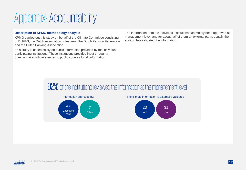### <span id="page-16-0"></span>Appendix: Accountability

#### **Description of KPMG methodology analysis**

KPMG carried out this study on behalf of the Climate Committee consisting of DUFAS, the Dutch Association of Insurers, the Dutch Pension Federation and the Dutch Banking Association.

This study is based solely on public information provided by the individual participating institutions. These institutions provided input through a questionnaire with references to public sources for all information.

The information from the individual institutions has mostly been approved at management level, and for about half of them an external party, usually the auditor, has validated the information.

### 92% of the institutions reviewed the information at the management level



The climate information is externally validated



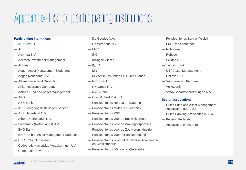### Appendix: List of participating institutions

#### **Participating institutions**

- ABN AMRO
- $-$  ABP
- Achmea B.V.
- Achmea Investment Management
- Actiam
- Aegon Asset Management Nederland
- Aegon Nederland N.V.
- Allianz Nederland Groep N.V.
- Anker Insurance Company
- Anthos Fund and Asset Management
- $-$  APG
- ASN Bank
- ASN Beleggingsinstellingen Beheer
- ASR Nederland N.V.
- Athora Netherlands N.V.
- BlackRock (Netherlands) B.V.
- BNG Bank
- BNP Paribas Asset Management Nederland
- CBRE Global Investors
- Coöperatie Klaverblad Verzekeringen U.A.
- Coöperatie Univé U.A.
- De Goudse N.V.
- De Vereende N.V.
- $-$  FMO
- $-$  ING
- InsingerGilissen
- $-$  IQFQ
- MN
- MS Amlin Insurance SE Dutch Branch
- NIBC Bank
- NN Group N.V.
- NWB Bank
- O.W.M. MediRisk B.A.
- Pensioenfonds Horeca en Catering
- Pensioenfonds Metaal en Techniek
- Pensioenfonds PGB
- Pensioenfonds voor de Bouwnijverheid
- Pensioenfonds voor de Woningcorporaties
- Pensioenfonds voor de Zoetwarenindustrie
- Pensioenfonds voor het Bakkersbedrijf
- Pensioenfonds voor het Schilders-, Afwerkingsen Glaszetbedrijf
- Pensioenfonds Werk en (re)Integratie
- Pensioenfonds Zorg en Welzijn
- PME Pensioenfonds
- Rabobank
- Robeco
- Scildon N.V.
- Triodos Bank
- UBP Asset Management
- Unilever APF
- Van Lanschot Kempen
- Volksbank
- VvAA Schadeverzekeringen N.V.

#### **Sector associations**

- Dutch Fund and Asset Management Association (DUFAS)
- Dutch Banking Association (NVB)
- Pension Federation
- Association of Insurers